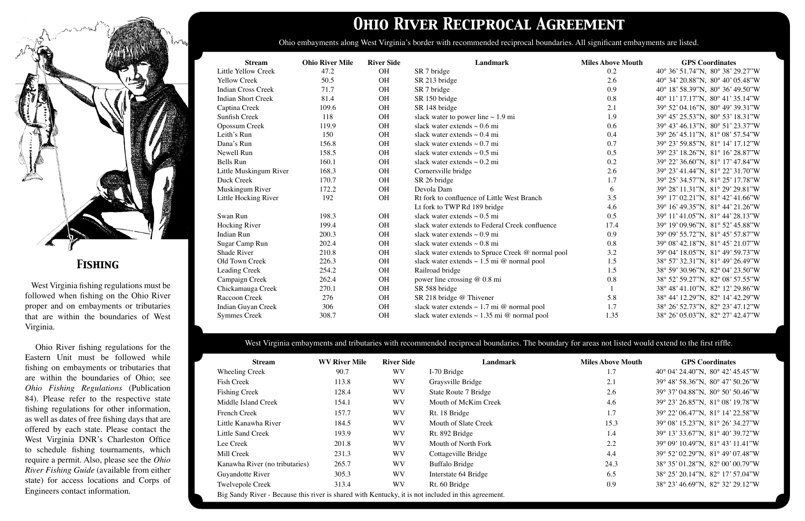# *Ohio River Reciprocal Agreement*

Ohio embayments along West Virginia's border with recommended reciprocal boundaries. All significant embayments are listed.

| <b>Stream</b>              | <b>Ohio River Mile</b> | <b>River Side</b> | <b>Landmark</b>                                   | <b>Miles Above Mouth</b> | <b>GPS</b> Coordinates           |
|----------------------------|------------------------|-------------------|---------------------------------------------------|--------------------------|----------------------------------|
| <b>Little Yellow Creek</b> | 47.2                   | <b>OH</b>         | SR 7 bridge                                       | 0.2                      | 40° 36' 51.74"N, 80° 38' 29.27"W |
| <b>Yellow Creek</b>        | 50.5                   | <b>OH</b>         | SR 213 bridge                                     | 2.6                      | 40° 34' 20.88"N, 80° 40' 05.48"W |
| <b>Indian Cross Creek</b>  | 71.7                   | <b>OH</b>         | SR 7 bridge                                       | 0.9                      | 40° 18' 58.39"N, 80° 36' 49.50"W |
| <b>Indian Short Creek</b>  | 81.4                   | <b>OH</b>         | SR 150 bridge                                     | 0.8                      | 40° 11' 17.17"N, 80° 41' 35.14"W |
| Captina Creek              | 109.6                  | <b>OH</b>         | SR 148 bridge                                     | 2.1                      | 39° 52' 04.16"N, 80° 49' 39.31"W |
| Sunfish Creek              | 118                    | <b>OH</b>         | slack water to power line $\sim 1.9$ mi           | 1.9                      | 39° 45' 25.53"N, 80° 53' 18.31"W |
| Opossum Creek              | 119.9                  | <b>OH</b>         | slack water extends $\sim 0.6$ mi                 | 0.6                      | 39° 43' 46.13"N, 80° 51' 23.37"W |
| Leith's Run                | 150                    | <b>OH</b>         | slack water extends $\sim 0.4$ mi                 | 0.4                      | 39° 26' 45.11"N, 81° 08' 57.54"W |
| Dana's Run                 | 156.8                  | <b>OH</b>         | slack water extends $\sim 0.7$ mi                 | 0.7                      | 39° 23' 59.85"N, 81° 14' 17.12"W |
| Newell Run                 | 158.5                  | <b>OH</b>         | slack water extends $\sim 0.5$ mi                 | 0.5                      | 39° 23' 18.26"N, 81° 16' 28.87"W |
| <b>Bells Run</b>           | 160.1                  | <b>OH</b>         | slack water extends $\sim 0.2$ mi                 | 0.2                      | 39° 22' 36.60"N, 81° 17' 47.84"W |
| Little Muskingum River     | 168.3                  | <b>OH</b>         | Cornersville bridge                               | 2.6                      | 39° 23' 41.44"N, 81° 22' 31.70"W |
| Duck Creek                 | 170.7                  | <b>OH</b>         | SR 26 bridge                                      | 1.7                      | 39° 25' 34.57"N, 81° 25' 17.78"W |
| Muskingum River            | 172.2                  | <b>OH</b>         | Devola Dam                                        | 6                        | 39° 28' 11.31"N, 81° 29' 29.81"W |
| Little Hocking River       | 192                    | <b>OH</b>         | Rt fork to confluence of Little West Branch       | 3.5                      | 39° 17' 02.21"N, 81° 42' 41.66"W |
|                            |                        |                   | Lt fork to TWP Rd 189 bridge                      | 4.6                      | 39° 16' 49.35"N, 81° 44' 21.26"W |
| Swan Run                   | 198.3                  | <b>OH</b>         | slack water extends $\sim 0.5$ mi                 | 0.5                      | 39° 11' 41.05"N, 81° 44' 28.13"W |
| Hocking River              | 199.4                  | <b>OH</b>         | slack water extends to Federal Creek confluence   | 17.4                     | 39° 19' 09.96"N, 81° 52' 45.88"W |
| <b>Indian Run</b>          | 200.3                  | <b>OH</b>         | slack water extends $\sim 0.9$ mi                 | 0.9                      | 39° 09' 55.72"N, 81° 45' 57.87"W |
| Sugar Camp Run             | 202.4                  | <b>OH</b>         | slack water extends $\sim 0.8$ mi                 | 0.8                      | 39° 08' 42.18"N, 81° 45' 21.07"W |
| Shade River                | 210.8                  | <b>OH</b>         | slack water extends to Spruce Creek @ normal pool | 3.2                      | 39° 04' 18.05"N, 81° 49' 59.73"W |
| Old Town Creek             | 226.3                  | <b>OH</b>         | slack water extends $\sim 1.5$ mi @ normal pool   | 1.5                      | 38° 57' 32.31"N, 81° 49' 26.49"W |
| Leading Creek              | 254.2                  | <b>OH</b>         | Railroad bridge                                   | 1.5                      | 38° 59' 30.96"N, 82° 04' 23.50"W |
| Campaign Creek             | 262.4                  | <b>OH</b>         | power line crossing @ 0.8 mi                      | 0.8                      | 38° 52' 59.27"N, 82° 08' 57.55"W |
| Chickamauga Creek          | 270.1                  | <b>OH</b>         | SR 588 bridge                                     | $\mathbf{1}$             | 38° 48' 41.10"N, 82° 12' 29.86"W |
| Raccoon Creek              | 276                    | OH                | SR 218 bridge @ Thivener                          | 5.8                      | 38° 44' 12.29"N, 82° 14' 42.29"W |
| Indian Guyan Creek         | 306                    | <b>OH</b>         | slack water extends $\sim 1.7$ mi @ normal pool   | 1.7                      | 38° 26' 52.73"N, 82° 23' 47.12"W |
| <b>Symmes Creek</b>        | 308.7                  | <b>OH</b>         | slack water extends $\sim$ 1.35 mi @ normal pool  | 1.35                     | 38° 26' 05.03"N, 82° 27' 42.47"W |



## *Fishing*

 West Virginia fishing regulations must be followed when fishing on the Ohio River proper and on embayments or tributaries that are within the boundaries of West Virginia.

 Ohio River fishing regulations for the Eastern Unit must be followed while fishing on embayments or tributaries that are within the boundaries of Ohio; see *Ohio Fishing Regulations* (Publication 84). Please refer to the respective state fishing regulations for other information, as well as dates of free fishing days that are offered by each state. Please contact the West Virginia DNR's Charleston Office to schedule fishing tournaments, which require a permit. Also, please see the *Ohio River Fishing Guide* (available from either state) for access locations and Corps of Engineers contact information.

| <b>Stream</b>                                                                                       | <b>WV River Mile</b> | <b>River Side</b> | Landmark              | <b>Miles Above Mouth</b> | <b>GPS</b> Coordinates                             |
|-----------------------------------------------------------------------------------------------------|----------------------|-------------------|-----------------------|--------------------------|----------------------------------------------------|
| Wheeling Creek                                                                                      | 90.7                 | <b>WV</b>         | I-70 Bridge           | 1.7                      | $40^{\circ}$ 04' 24.40"N, $80^{\circ}$ 42' 45.45"W |
| Fish Creek                                                                                          | 113.8                | <b>WV</b>         | Graysville Bridge     | 2.1                      | 39° 48' 58.36"N, 80° 47' 50.26"W                   |
| <b>Fishing Creek</b>                                                                                | 128.4                | <b>WV</b>         | State Route 7 Bridge  | 2.6                      | 39° 37' 04.88"N, 80° 50' 50.46"W                   |
| Middle Island Creek                                                                                 | 154.1                | <b>WV</b>         | Mouth of McKim Creek  | 4.6                      | 39° 23' 26.85"N, 81° 08' 19.78"W                   |
| <b>French Creek</b>                                                                                 | 157.7                | <b>WV</b>         | Rt. 18 Bridge         | 1.7                      | 39° 22' 06.47"N, 81° 14' 22.58"W                   |
| Little Kanawha River                                                                                | 184.5                | <b>WV</b>         | Mouth of Slate Creek  | 15.3                     | 39° 08' 15.23"N, 81° 26' 34.27"W                   |
| Little Sand Creek                                                                                   | 193.9                | <b>WV</b>         | Rt. 892 Bridge        | 1.4                      | 39° 13' 33.67"N, 81° 40' 39.72"W                   |
| Lee Creek                                                                                           | 201.8                | <b>WV</b>         | Mouth of North Fork   | 2.2                      | 39° 09' 10.49"N, 81° 43' 11.41"W                   |
| Mill Creek                                                                                          | 231.3                | <b>WV</b>         | Cottageville Bridge   | 4.4                      | 39° 52' 02.29"N, 81° 49' 07.48"W                   |
| Kanawha River (no tributaries)                                                                      | 265.7                | <b>WV</b>         | <b>Buffalo Bridge</b> | 24.3                     | 38° 35' 01.28"N, 82° 00' 00.79"W                   |
| Guyandotte River                                                                                    | 305.3                | <b>WV</b>         | Interstate 64 Bridge  | 6.5                      | 38° 25' 20.14"N, 82° 17' 57.04"W                   |
| <b>Twelvepole Creek</b>                                                                             | 313.4                | <b>WV</b>         | Rt. 60 Bridge         | 0.9                      | 38° 23' 46.69"N, 82° 32' 29.12"W                   |
| Big Sandy River - Because this river is shared with Kentucky, it is not included in this agreement. |                      |                   |                       |                          |                                                    |

| 1.7  | 40° 04' 24.40"N, 80° 42' 45.45"W |
|------|----------------------------------|
| 2.1  | 39° 48' 58.36"N, 80° 47' 50.26"W |
| 2.6  | 39° 37' 04.88"N, 80° 50' 50.46"W |
| 4.6  | 39° 23' 26.85"N, 81° 08' 19.78"W |
| 1.7  | 39° 22' 06.47"N, 81° 14' 22.58"W |
| 15.3 | 39° 08' 15.23"N, 81° 26' 34.27"W |
| 1.4  | 39° 13' 33.67"N, 81° 40' 39.72"W |
| 2.2  | 39° 09' 10.49"N, 81° 43' 11.41"W |
| 4.4  | 39° 52' 02.29"N, 81° 49' 07.48"W |
| 24.3 | 38° 35' 01.28"N, 82° 00' 00.79"W |
| 6.5  | 38° 25' 20.14"N, 82° 17' 57.04"W |
| 0.9  | 38° 23' 46.69"N, 82° 32' 29.12"W |
|      |                                  |

### West Virginia embayments and tributaries with recommended reciprocal boundaries. The boundary for areas not listed would extend to the first riffle.